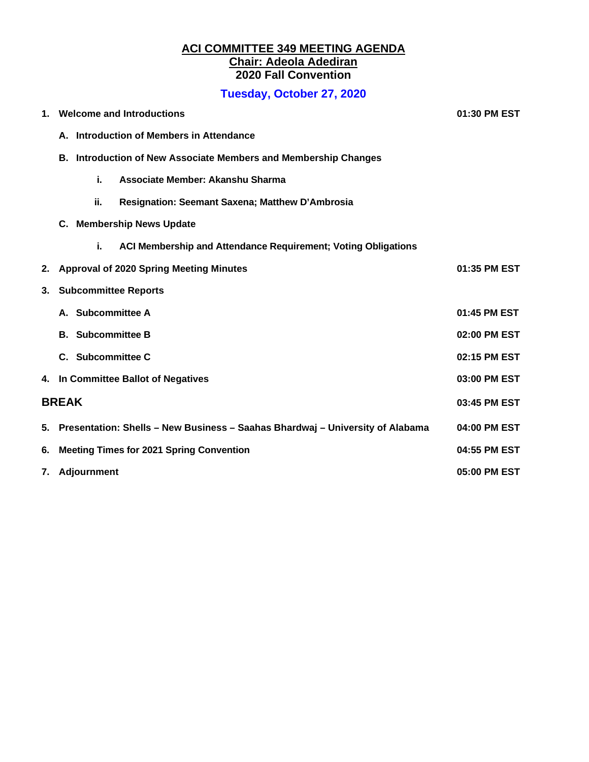#### **ACI COMMITTEE 349 MEETING AGENDA Chair: Adeola Adediran 2020 Fall Convention**

# **Tuesday, October 27, 2020**

| 1. | <b>Welcome and Introductions</b>                                              | 01:30 PM EST |  |
|----|-------------------------------------------------------------------------------|--------------|--|
|    | A. Introduction of Members in Attendance                                      |              |  |
|    | B. Introduction of New Associate Members and Membership Changes               |              |  |
|    | i.<br>Associate Member: Akanshu Sharma                                        |              |  |
|    | ii.<br>Resignation: Seemant Saxena; Matthew D'Ambrosia                        |              |  |
|    | C. Membership News Update                                                     |              |  |
|    | i.<br>ACI Membership and Attendance Requirement; Voting Obligations           |              |  |
| 2. | <b>Approval of 2020 Spring Meeting Minutes</b>                                | 01:35 PM EST |  |
| 3. | <b>Subcommittee Reports</b>                                                   |              |  |
|    | A. Subcommittee A                                                             | 01:45 PM EST |  |
|    | <b>B.</b> Subcommittee B                                                      | 02:00 PM EST |  |
|    | C. Subcommittee C                                                             | 02:15 PM EST |  |
|    | 4. In Committee Ballot of Negatives                                           | 03:00 PM EST |  |
|    | <b>BREAK</b>                                                                  |              |  |
| 5. | Presentation: Shells - New Business - Saahas Bhardwaj - University of Alabama | 04:00 PM EST |  |
| 6. | <b>Meeting Times for 2021 Spring Convention</b>                               | 04:55 PM EST |  |
| 7. | Adjournment                                                                   | 05:00 PM EST |  |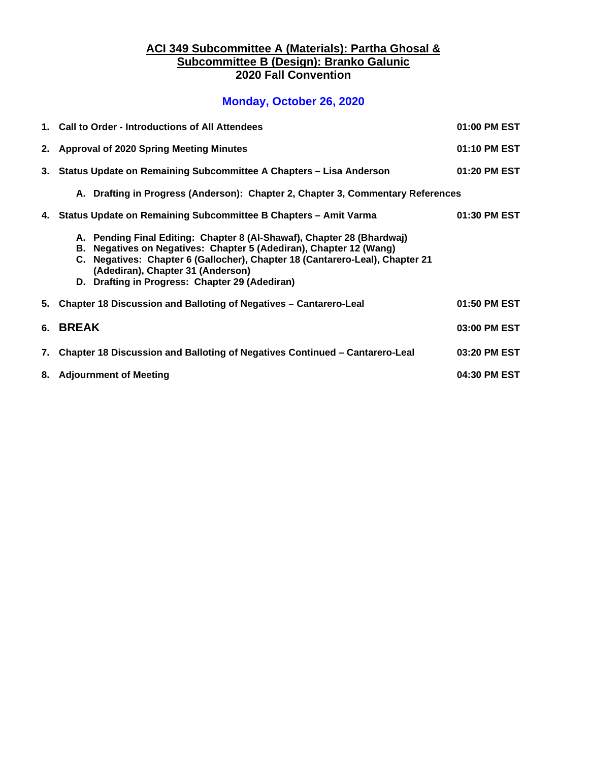#### **ACI 349 Subcommittee A (Materials): Partha Ghosal & Subcommittee B (Design): Branko Galunic 2020 Fall Convention**

## **Monday, October 26, 2020**

| 1. Call to Order - Introductions of All Attendees                                                                                                                                                                                                                                                                   | 01:00 PM EST |
|---------------------------------------------------------------------------------------------------------------------------------------------------------------------------------------------------------------------------------------------------------------------------------------------------------------------|--------------|
| 2. Approval of 2020 Spring Meeting Minutes                                                                                                                                                                                                                                                                          | 01:10 PM EST |
| 3. Status Update on Remaining Subcommittee A Chapters - Lisa Anderson                                                                                                                                                                                                                                               | 01:20 PM EST |
| A. Drafting in Progress (Anderson): Chapter 2, Chapter 3, Commentary References                                                                                                                                                                                                                                     |              |
| 4. Status Update on Remaining Subcommittee B Chapters - Amit Varma                                                                                                                                                                                                                                                  | 01:30 PM EST |
| A. Pending Final Editing: Chapter 8 (Al-Shawaf), Chapter 28 (Bhardwaj)<br>B. Negatives on Negatives: Chapter 5 (Adediran), Chapter 12 (Wang)<br>C. Negatives: Chapter 6 (Gallocher), Chapter 18 (Cantarero-Leal), Chapter 21<br>(Adediran), Chapter 31 (Anderson)<br>D. Drafting in Progress: Chapter 29 (Adediran) |              |
| 5. Chapter 18 Discussion and Balloting of Negatives - Cantarero-Leal                                                                                                                                                                                                                                                | 01:50 PM EST |
| 6. BREAK                                                                                                                                                                                                                                                                                                            | 03:00 PM EST |
| 7. Chapter 18 Discussion and Balloting of Negatives Continued - Cantarero-Leal                                                                                                                                                                                                                                      | 03:20 PM EST |
| 8. Adjournment of Meeting                                                                                                                                                                                                                                                                                           | 04:30 PM EST |